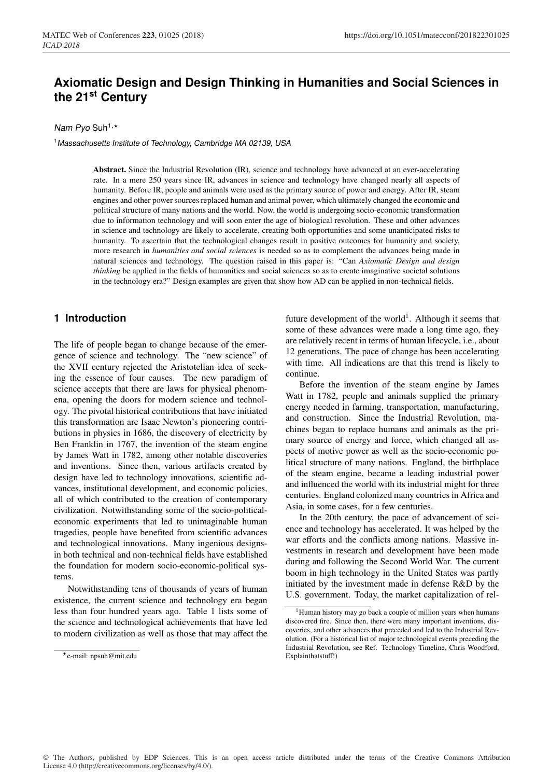# **Axiomatic Design and Design Thinking in Humanities and Social Sciences in the 21st Century**

#### Nam Pyo Suh<sup>1,\*</sup>

<sup>1</sup>*Massachusetts Institute of Technology, Cambridge MA 02139, USA*

Abstract. Since the Industrial Revolution (IR), science and technology have advanced at an ever-accelerating rate. In a mere 250 years since IR, advances in science and technology have changed nearly all aspects of humanity. Before IR, people and animals were used as the primary source of power and energy. After IR, steam engines and other power sources replaced human and animal power, which ultimately changed the economic and political structure of many nations and the world. Now, the world is undergoing socio-economic transformation due to information technology and will soon enter the age of biological revolution. These and other advances in science and technology are likely to accelerate, creating both opportunities and some unanticipated risks to humanity. To ascertain that the technological changes result in positive outcomes for humanity and society, more research in *humanities and social sciences* is needed so as to complement the advances being made in natural sciences and technology. The question raised in this paper is: "Can *Axiomatic Design and design thinking* be applied in the fields of humanities and social sciences so as to create imaginative societal solutions in the technology era?" Design examples are given that show how AD can be applied in non-technical fields.

### **1 Introduction**

The life of people began to change because of the emergence of science and technology. The "new science" of the XVII century rejected the Aristotelian idea of seeking the essence of four causes. The new paradigm of science accepts that there are laws for physical phenomena, opening the doors for modern science and technology. The pivotal historical contributions that have initiated this transformation are Isaac Newton's pioneering contributions in physics in 1686, the discovery of electricity by Ben Franklin in 1767, the invention of the steam engine by James Watt in 1782, among other notable discoveries and inventions. Since then, various artifacts created by design have led to technology innovations, scientific advances, institutional development, and economic policies, all of which contributed to the creation of contemporary civilization. Notwithstanding some of the socio-politicaleconomic experiments that led to unimaginable human tragedies, people have benefited from scientific advances and technological innovations. Many ingenious designsin both technical and non-technical fields have established the foundation for modern socio-economic-political systems.

Notwithstanding tens of thousands of years of human existence, the current science and technology era began less than four hundred years ago. Table 1 lists some of the science and technological achievements that have led to modern civilization as well as those that may affect the

future development of the world<sup>1</sup>. Although it seems that some of these advances were made a long time ago, they are relatively recent in terms of human lifecycle, i.e., about 12 generations. The pace of change has been accelerating with time. All indications are that this trend is likely to continue.

Before the invention of the steam engine by James Watt in 1782, people and animals supplied the primary energy needed in farming, transportation, manufacturing, and construction. Since the Industrial Revolution, machines began to replace humans and animals as the primary source of energy and force, which changed all aspects of motive power as well as the socio-economic political structure of many nations. England, the birthplace of the steam engine, became a leading industrial power and influenced the world with its industrial might for three centuries. England colonized many countries in Africa and Asia, in some cases, for a few centuries.

In the 20th century, the pace of advancement of science and technology has accelerated. It was helped by the war efforts and the conflicts among nations. Massive investments in research and development have been made during and following the Second World War. The current boom in high technology in the United States was partly initiated by the investment made in defense R&D by the U.S. government. Today, the market capitalization of rel-

e-mail: npsuh@mit.edu

<sup>&</sup>lt;sup>1</sup>Human history may go back a couple of million years when humans discovered fire. Since then, there were many important inventions, discoveries, and other advances that preceded and led to the Industrial Revolution. (For a historical list of major technological events preceding the Industrial Revolution, see Ref. Technology Timeline, Chris Woodford, Explainthatstuff!)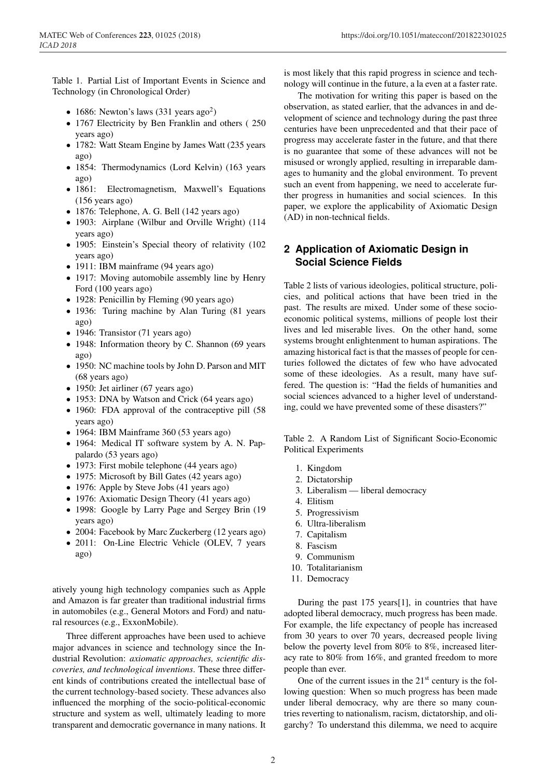Table 1. Partial List of Important Events in Science and Technology (in Chronological Order)

- 1686: Newton's laws  $(331 \text{ years ago}^2)$
- 1767 Electricity by Ben Franklin and others (250) years ago)
- 1782: Watt Steam Engine by James Watt (235 years) ago)
- 1854: Thermodynamics (Lord Kelvin) (163 years ago)
- 1861: Electromagnetism, Maxwell's Equations (156 years ago)
- 1876: Telephone, A. G. Bell (142 years ago)
- 1903: Airplane (Wilbur and Orville Wright) (114 years ago)
- 1905: Einstein's Special theory of relativity (102 years ago)
- 1911: IBM mainframe (94 years ago)
- 1917: Moving automobile assembly line by Henry Ford (100 years ago)
- 1928: Penicillin by Fleming (90 years ago)
- 1936: Turing machine by Alan Turing (81 years ago)
- 1946: Transistor (71 years ago)
- 1948: Information theory by C. Shannon (69 years ago)
- 1950: NC machine tools by John D. Parson and MIT (68 years ago)
- 1950: Jet airliner (67 years ago)
- 1953: DNA by Watson and Crick (64 years ago)
- 1960: FDA approval of the contraceptive pill (58 years ago)
- 1964: IBM Mainframe 360 (53 years ago)
- 1964: Medical IT software system by A. N. Pappalardo (53 years ago)
- 1973: First mobile telephone (44 years ago)
- 1975: Microsoft by Bill Gates (42 years ago)
- 1976: Apple by Steve Jobs (41 years ago)
- 1976: Axiomatic Design Theory (41 years ago)
- 1998: Google by Larry Page and Sergey Brin (19 years ago)
- 2004: Facebook by Marc Zuckerberg (12 years ago)
- 2011: On-Line Electric Vehicle (OLEV, 7 years ago)

atively young high technology companies such as Apple and Amazon is far greater than traditional industrial firms in automobiles (e.g., General Motors and Ford) and natural resources (e.g., ExxonMobile).

Three different approaches have been used to achieve major advances in science and technology since the Industrial Revolution: *axiomatic approaches, scientific discoveries, and technological inventions*. These three different kinds of contributions created the intellectual base of the current technology-based society. These advances also influenced the morphing of the socio-political-economic structure and system as well, ultimately leading to more transparent and democratic governance in many nations. It

is most likely that this rapid progress in science and technology will continue in the future, a la even at a faster rate.

The motivation for writing this paper is based on the observation, as stated earlier, that the advances in and development of science and technology during the past three centuries have been unprecedented and that their pace of progress may accelerate faster in the future, and that there is no guarantee that some of these advances will not be misused or wrongly applied, resulting in irreparable damages to humanity and the global environment. To prevent such an event from happening, we need to accelerate further progress in humanities and social sciences. In this paper, we explore the applicability of Axiomatic Design (AD) in non-technical fields.

# **2 Application of Axiomatic Design in Social Science Fields**

Table 2 lists of various ideologies, political structure, policies, and political actions that have been tried in the past. The results are mixed. Under some of these socioeconomic political systems, millions of people lost their lives and led miserable lives. On the other hand, some systems brought enlightenment to human aspirations. The amazing historical fact is that the masses of people for centuries followed the dictates of few who have advocated some of these ideologies. As a result, many have suffered. The question is: "Had the fields of humanities and social sciences advanced to a higher level of understanding, could we have prevented some of these disasters?"

Table 2. A Random List of Significant Socio-Economic Political Experiments

- 1. Kingdom
- 2. Dictatorship
- 3. Liberalism liberal democracy
- 4. Elitism
- 5. Progressivism
- 6. Ultra-liberalism
- 7. Capitalism
- 8. Fascism
- 9. Communism
- 10. Totalitarianism
- 11. Democracy

During the past 175 years[1], in countries that have adopted liberal democracy, much progress has been made. For example, the life expectancy of people has increased from 30 years to over 70 years, decreased people living below the poverty level from 80% to 8%, increased literacy rate to 80% from 16%, and granted freedom to more people than ever.

One of the current issues in the  $21<sup>st</sup>$  century is the following question: When so much progress has been made under liberal democracy, why are there so many countries reverting to nationalism, racism, dictatorship, and oligarchy? To understand this dilemma, we need to acquire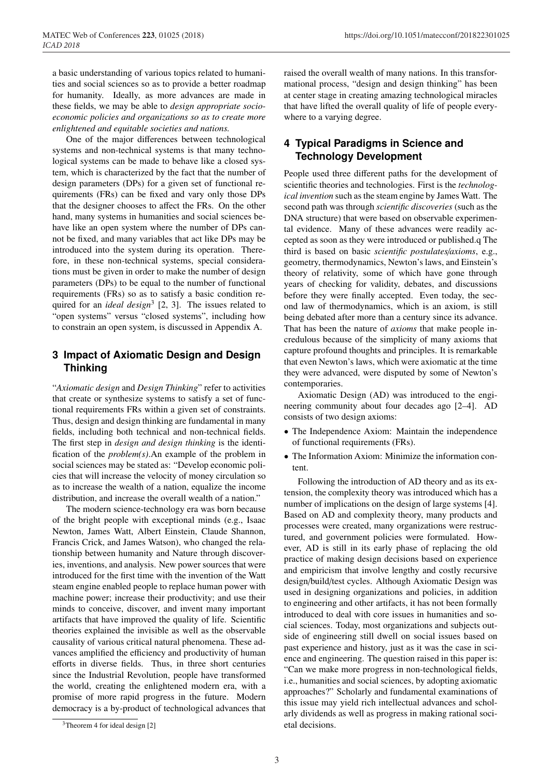a basic understanding of various topics related to humanities and social sciences so as to provide a better roadmap for humanity. Ideally, as more advances are made in these fields, we may be able to *design appropriate socioeconomic policies and organizations so as to create more enlightened and equitable societies and nations.*

One of the major differences between technological systems and non-technical systems is that many technological systems can be made to behave like a closed system, which is characterized by the fact that the number of design parameters (DPs) for a given set of functional requirements (FRs) can be fixed and vary only those DPs that the designer chooses to affect the FRs. On the other hand, many systems in humanities and social sciences behave like an open system where the number of DPs cannot be fixed, and many variables that act like DPs may be introduced into the system during its operation. Therefore, in these non-technical systems, special considerations must be given in order to make the number of design parameters (DPs) to be equal to the number of functional requirements (FRs) so as to satisfy a basic condition required for an *ideal design*<sup>3</sup> [2, 3]. The issues related to "open systems" versus "closed systems", including how to constrain an open system, is discussed in Appendix A.

### **3 Impact of Axiomatic Design and Design Thinking**

"*Axiomatic design* and *Design Thinking*" refer to activities that create or synthesize systems to satisfy a set of functional requirements FRs within a given set of constraints. Thus, design and design thinking are fundamental in many fields, including both technical and non-technical fields. The first step in *design and design thinking* is the identification of the *problem(s)*.An example of the problem in social sciences may be stated as: "Develop economic policies that will increase the velocity of money circulation so as to increase the wealth of a nation, equalize the income distribution, and increase the overall wealth of a nation."

The modern science-technology era was born because of the bright people with exceptional minds (e.g., Isaac Newton, James Watt, Albert Einstein, Claude Shannon, Francis Crick, and James Watson), who changed the relationship between humanity and Nature through discoveries, inventions, and analysis. New power sources that were introduced for the first time with the invention of the Watt steam engine enabled people to replace human power with machine power; increase their productivity; and use their minds to conceive, discover, and invent many important artifacts that have improved the quality of life. Scientific theories explained the invisible as well as the observable causality of various critical natural phenomena. These advances amplified the efficiency and productivity of human efforts in diverse fields. Thus, in three short centuries since the Industrial Revolution, people have transformed the world, creating the enlightened modern era, with a promise of more rapid progress in the future. Modern democracy is a by-product of technological advances that

raised the overall wealth of many nations. In this transformational process, "design and design thinking" has been at center stage in creating amazing technological miracles that have lifted the overall quality of life of people everywhere to a varying degree.

# **4 Typical Paradigms in Science and Technology Development**

People used three different paths for the development of scientific theories and technologies. First is the *technological invention* such as the steam engine by James Watt. The second path was through *scientific discoveries* (such as the DNA structure) that were based on observable experimental evidence. Many of these advances were readily accepted as soon as they were introduced or published.q The third is based on basic *scientific postulates*/*axioms*, e.g., geometry, thermodynamics, Newton's laws, and Einstein's theory of relativity, some of which have gone through years of checking for validity, debates, and discussions before they were finally accepted. Even today, the second law of thermodynamics, which is an axiom, is still being debated after more than a century since its advance. That has been the nature of *axioms* that make people incredulous because of the simplicity of many axioms that capture profound thoughts and principles. It is remarkable that even Newton's laws, which were axiomatic at the time they were advanced, were disputed by some of Newton's contemporaries.

Axiomatic Design (AD) was introduced to the engineering community about four decades ago [2–4]. AD consists of two design axioms:

- The Independence Axiom: Maintain the independence of functional requirements (FRs).
- The Information Axiom: Minimize the information content.

Following the introduction of AD theory and as its extension, the complexity theory was introduced which has a number of implications on the design of large systems [4]. Based on AD and complexity theory, many products and processes were created, many organizations were restructured, and government policies were formulated. However, AD is still in its early phase of replacing the old practice of making design decisions based on experience and empiricism that involve lengthy and costly recursive design/build/test cycles. Although Axiomatic Design was used in designing organizations and policies, in addition to engineering and other artifacts, it has not been formally introduced to deal with core issues in humanities and social sciences. Today, most organizations and subjects outside of engineering still dwell on social issues based on past experience and history, just as it was the case in science and engineering. The question raised in this paper is: "Can we make more progress in non-technological fields, i.e., humanities and social sciences, by adopting axiomatic approaches?" Scholarly and fundamental examinations of this issue may yield rich intellectual advances and scholarly dividends as well as progress in making rational societal decisions.

 $3$ Theorem 4 for ideal design [2]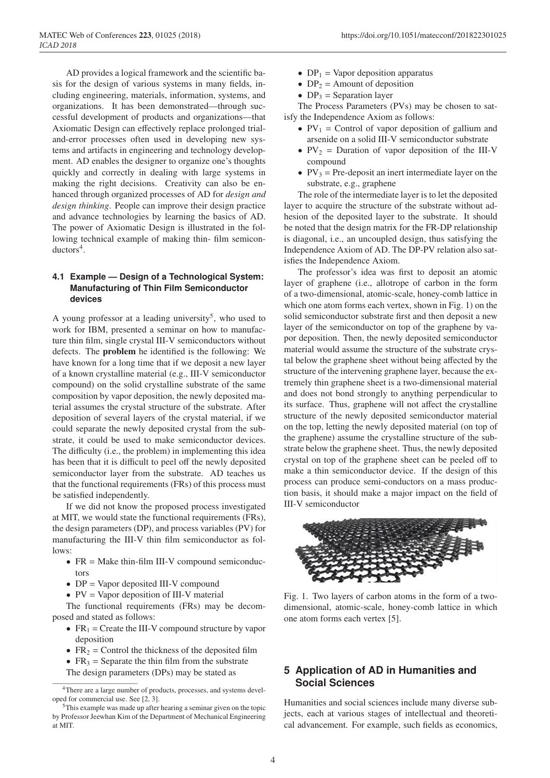AD provides a logical framework and the scientific basis for the design of various systems in many fields, including engineering, materials, information, systems, and organizations. It has been demonstrated—through successful development of products and organizations—that Axiomatic Design can effectively replace prolonged trialand-error processes often used in developing new systems and artifacts in engineering and technology development. AD enables the designer to organize one's thoughts quickly and correctly in dealing with large systems in making the right decisions. Creativity can also be enhanced through organized processes of AD for *design and design thinking*. People can improve their design practice and advance technologies by learning the basics of AD. The power of Axiomatic Design is illustrated in the following technical example of making thin- film semicon $ductors<sup>4</sup>$ .

#### **4.1 Example — Design of a Technological System: Manufacturing of Thin Film Semiconductor devices**

A young professor at a leading university<sup>5</sup>, who used to work for IBM, presented a seminar on how to manufacture thin film, single crystal III-V semiconductors without defects. The problem he identified is the following: We have known for a long time that if we deposit a new layer of a known crystalline material (e.g., III-V semiconductor compound) on the solid crystalline substrate of the same composition by vapor deposition, the newly deposited material assumes the crystal structure of the substrate. After deposition of several layers of the crystal material, if we could separate the newly deposited crystal from the substrate, it could be used to make semiconductor devices. The difficulty (i.e., the problem) in implementing this idea has been that it is difficult to peel off the newly deposited semiconductor layer from the substrate. AD teaches us that the functional requirements (FRs) of this process must be satisfied independently.

If we did not know the proposed process investigated at MIT, we would state the functional requirements (FRs), the design parameters (DP), and process variables (PV) for manufacturing the III-V thin film semiconductor as follows:

- FR = Make thin-film III-V compound semiconductors
- DP = Vapor deposited III-V compound
- PV = Vapor deposition of III-V material

The functional requirements (FRs) may be decomposed and stated as follows:

- $FR_1$  = Create the III-V compound structure by vapor deposition
- $FR<sub>2</sub> = Control$  the thickness of the deposited film
- $FR<sub>3</sub>$  = Separate the thin film from the substrate

The design parameters (DPs) may be stated as

- $DP_1$  = Vapor deposition apparatus
- $DP_2$  = Amount of deposition
- $DP_3$  = Separation layer

The Process Parameters (PVs) may be chosen to satisfy the Independence Axiom as follows:

- $PV_1$  = Control of vapor deposition of gallium and arsenide on a solid III-V semiconductor substrate
- $PV_2$  = Duration of vapor deposition of the III-V compound
- $PV_3$  = Pre-deposit an inert intermediate layer on the substrate, e.g., graphene

The role of the intermediate layer is to let the deposited layer to acquire the structure of the substrate without adhesion of the deposited layer to the substrate. It should be noted that the design matrix for the FR-DP relationship is diagonal, i.e., an uncoupled design, thus satisfying the Independence Axiom of AD. The DP-PV relation also satisfies the Independence Axiom.

The professor's idea was first to deposit an atomic layer of graphene (i.e., allotrope of carbon in the form of a two-dimensional, atomic-scale, honey-comb lattice in which one atom forms each vertex, shown in Fig. 1) on the solid semiconductor substrate first and then deposit a new layer of the semiconductor on top of the graphene by vapor deposition. Then, the newly deposited semiconductor material would assume the structure of the substrate crystal below the graphene sheet without being affected by the structure of the intervening graphene layer, because the extremely thin graphene sheet is a two-dimensional material and does not bond strongly to anything perpendicular to its surface. Thus, graphene will not affect the crystalline structure of the newly deposited semiconductor material on the top, letting the newly deposited material (on top of the graphene) assume the crystalline structure of the substrate below the graphene sheet. Thus, the newly deposited crystal on top of the graphene sheet can be peeled off to make a thin semiconductor device. If the design of this process can produce semi-conductors on a mass production basis, it should make a major impact on the field of III-V semiconductor



Fig. 1. Two layers of carbon atoms in the form of a twodimensional, atomic-scale, honey-comb lattice in which one atom forms each vertex [5].

### **5 Application of AD in Humanities and Social Sciences**

Humanities and social sciences include many diverse subjects, each at various stages of intellectual and theoretical advancement. For example, such fields as economics,

<sup>4</sup>There are a large number of products, processes, and systems developed for commercial use. See [2, 3].

<sup>5</sup>This example was made up after hearing a seminar given on the topic by Professor Jeewhan Kim of the Department of Mechanical Engineering at MIT.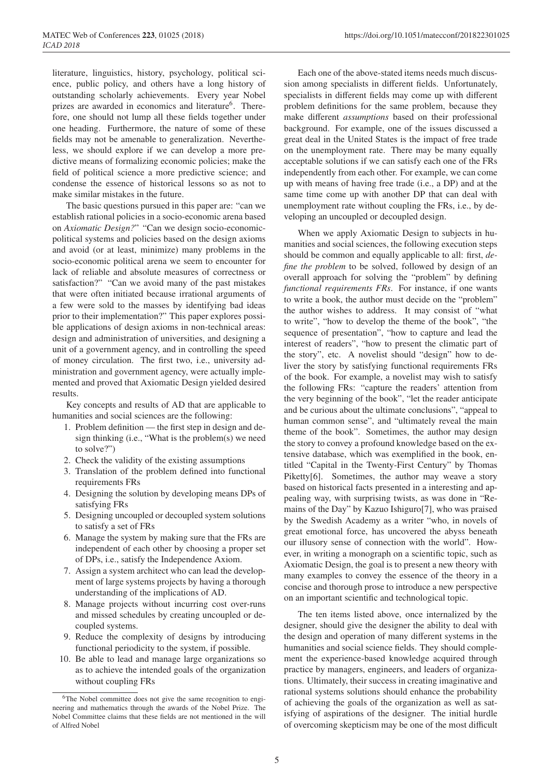dictive means of formalizing economic policies; make the field of political science a more predictive science; and condense the essence of historical lessons so as not to make similar mistakes in the future. The basic questions pursued in this paper are: "can we establish rational policies in a socio-economic arena based on *Axiomatic Design?*" "Can we design socio-economicpolitical systems and policies based on the design axioms and avoid (or at least, minimize) many problems in the socio-economic political arena we seem to encounter for lack of reliable and absolute measures of correctness or satisfaction?" "Can we avoid many of the past mistakes that were often initiated because irrational arguments of

a few were sold to the masses by identifying bad ideas prior to their implementation?" This paper explores possible applications of design axioms in non-technical areas: design and administration of universities, and designing a unit of a government agency, and in controlling the speed of money circulation. The first two, i.e., university administration and government agency, were actually implemented and proved that Axiomatic Design yielded desired results.

Key concepts and results of AD that are applicable to humanities and social sciences are the following:

- 1. Problem definition the first step in design and design thinking (i.e., "What is the problem(s) we need to solve?")
- 2. Check the validity of the existing assumptions
- 3. Translation of the problem defined into functional requirements FRs
- 4. Designing the solution by developing means DPs of satisfying FRs
- 5. Designing uncoupled or decoupled system solutions to satisfy a set of FRs
- 6. Manage the system by making sure that the FRs are independent of each other by choosing a proper set of DPs, i.e., satisfy the Independence Axiom.
- 7. Assign a system architect who can lead the development of large systems projects by having a thorough understanding of the implications of AD.
- 8. Manage projects without incurring cost over-runs and missed schedules by creating uncoupled or decoupled systems.
- 9. Reduce the complexity of designs by introducing functional periodicity to the system, if possible.
- 10. Be able to lead and manage large organizations so as to achieve the intended goals of the organization without coupling FRs

Each one of the above-stated items needs much discussion among specialists in different fields. Unfortunately, specialists in different fields may come up with different problem definitions for the same problem, because they make different *assumptions* based on their professional background. For example, one of the issues discussed a great deal in the United States is the impact of free trade on the unemployment rate. There may be many equally acceptable solutions if we can satisfy each one of the FRs independently from each other. For example, we can come up with means of having free trade (i.e., a DP) and at the same time come up with another DP that can deal with unemployment rate without coupling the FRs, i.e., by developing an uncoupled or decoupled design.

When we apply Axiomatic Design to subjects in humanities and social sciences, the following execution steps should be common and equally applicable to all: first, *define the problem* to be solved, followed by design of an overall approach for solving the "problem" by defining *functional requirements FRs*. For instance, if one wants to write a book, the author must decide on the "problem" the author wishes to address. It may consist of "what to write", "how to develop the theme of the book", "the sequence of presentation", "how to capture and lead the interest of readers", "how to present the climatic part of the story", etc. A novelist should "design" how to deliver the story by satisfying functional requirements FRs of the book. For example, a novelist may wish to satisfy the following FRs: "capture the readers' attention from the very beginning of the book", "let the reader anticipate and be curious about the ultimate conclusions", "appeal to human common sense", and "ultimately reveal the main theme of the book". Sometimes, the author may design the story to convey a profound knowledge based on the extensive database, which was exemplified in the book, entitled "Capital in the Twenty-First Century" by Thomas Piketty[6]. Sometimes, the author may weave a story based on historical facts presented in a interesting and appealing way, with surprising twists, as was done in "Remains of the Day" by Kazuo Ishiguro[7], who was praised by the Swedish Academy as a writer "who, in novels of great emotional force, has uncovered the abyss beneath our illusory sense of connection with the world". However, in writing a monograph on a scientific topic, such as Axiomatic Design, the goal is to present a new theory with many examples to convey the essence of the theory in a concise and thorough prose to introduce a new perspective on an important scientific and technological topic.

The ten items listed above, once internalized by the designer, should give the designer the ability to deal with the design and operation of many different systems in the humanities and social science fields. They should complement the experience-based knowledge acquired through practice by managers, engineers, and leaders of organizations. Ultimately, their success in creating imaginative and rational systems solutions should enhance the probability of achieving the goals of the organization as well as satisfying of aspirations of the designer. The initial hurdle of overcoming skepticism may be one of the most difficult

<sup>6</sup>The Nobel committee does not give the same recognition to engineering and mathematics through the awards of the Nobel Prize. The Nobel Committee claims that these fields are not mentioned in the will of Alfred Nobel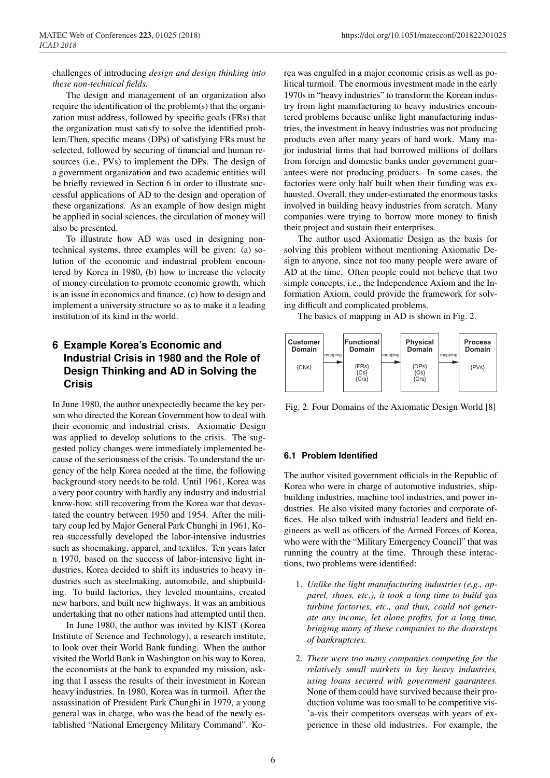challenges of introducing *design and design thinking into these non-technical fields.*

The design and management of an organization also require the identification of the problem(s) that the organization must address, followed by specific goals (FRs) that the organization must satisfy to solve the identified problem.Then, specific means (DPs) of satisfying FRs must be selected, followed by securing of financial and human resources (i.e., PVs) to implement the DPs. The design of a government organization and two academic entities will be briefly reviewed in Section 6 in order to illustrate successful applications of AD to the design and operation of these organizations. As an example of how design might be applied in social sciences, the circulation of money will also be presented.

To illustrate how AD was used in designing nontechnical systems, three examples will be given: (a) solution of the economic and industrial problem encountered by Korea in 1980, (b) how to increase the velocity of money circulation to promote economic growth, which is an issue in economics and finance, (c) how to design and implement a university structure so as to make it a leading institution of its kind in the world.

# **6 Example Korea's Economic and Industrial Crisis in 1980 and the Role of Design Thinking and AD in Solving the Crisis**

In June 1980, the author unexpectedly became the key person who directed the Korean Government how to deal with their economic and industrial crisis. Axiomatic Design was applied to develop solutions to the crisis. The suggested policy changes were immediately implemented because of the seriousness of the crisis. To understand the urgency of the help Korea needed at the time, the following background story needs to be told. Until 1961, Korea was a very poor country with hardly any industry and industrial know-how, still recovering from the Korea war that devastated the country between 1950 and 1954. After the military coup led by Major General Park Chunghi in 1961, Korea successfully developed the labor-intensive industries such as shoemaking, apparel, and textiles. Ten years later n 1970, based on the success of labor-intensive light industries, Korea decided to shift its industries to heavy industries such as steelmaking, automobile, and shipbuilding. To build factories, they leveled mountains, created new harbors, and built new highways. It was an ambitious undertaking that no other nations had attempted until then.

In June 1980, the author was invited by KIST (Korea Institute of Science and Technology), a research institute, to look over their World Bank funding. When the author visited the World Bank in Washington on his way to Korea, the economists at the bank to expanded my mission, asking that I assess the results of their investment in Korean heavy industries. In 1980, Korea was in turmoil. After the assassination of President Park Chunghi in 1979, a young general was in charge, who was the head of the newly established "National Emergency Military Command". Korea was engulfed in a major economic crisis as well as political turmoil. The enormous investment made in the early 1970s in "heavy industries" to transform the Korean industry from light manufacturing to heavy industries encountered problems because unlike light manufacturing industries, the investment in heavy industries was not producing products even after many years of hard work. Many major industrial firms that had borrowed millions of dollars from foreign and domestic banks under government guarantees were not producing products. In some cases, the factories were only half built when their funding was exhausted. Overall, they under-estimated the enormous tasks involved in building heavy industries from scratch. Many companies were trying to borrow more money to finish their project and sustain their enterprises.

The author used Axiomatic Design as the basis for solving this problem without mentioning Axiomatic Design to anyone, since not too many people were aware of AD at the time. Often people could not believe that two simple concepts, i.e., the Independence Axiom and the Information Axiom, could provide the framework for solving difficult and complicated problems.

The basics of mapping in AD is shown in Fig. 2.



Fig. 2. Four Domains of the Axiomatic Design World [8]

#### **6.1 Problem Identified**

The author visited government officials in the Republic of Korea who were in charge of automotive industries, shipbuilding industries, machine tool industries, and power industries. He also visited many factories and corporate offices. He also talked with industrial leaders and field engineers as well as officers of the Armed Forces of Korea, who were with the "Military Emergency Council" that was running the country at the time. Through these interactions, two problems were identified:

- 1. *Unlike the light manufacturing industries (e.g., apparel, shoes, etc.), it took a long time to build gas turbine factories, etc., and thus, could not generate any income, let alone profits, for a long time, bringing many of these companies to the doorsteps of bankruptcies.*
- 2. *There were too many companies competing for the relatively small markets in key heavy industries, using loans secured with government guarantees.* None of them could have survived because their production volume was too small to be competitive vis- 'a-vis their competitors overseas with years of experience in these old industries. For example, the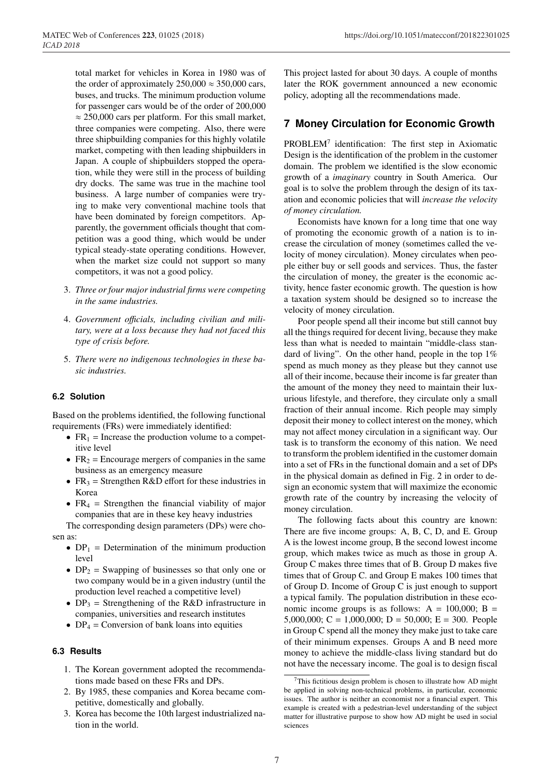total market for vehicles in Korea in 1980 was of the order of approximately  $250,000 \approx 350,000$  cars, buses, and trucks. The minimum production volume for passenger cars would be of the order of 200,000  $\approx$  250,000 cars per platform. For this small market, three companies were competing. Also, there were three shipbuilding companies for this highly volatile market, competing with then leading shipbuilders in Japan. A couple of shipbuilders stopped the operation, while they were still in the process of building dry docks. The same was true in the machine tool business. A large number of companies were trying to make very conventional machine tools that have been dominated by foreign competitors. Apparently, the government officials thought that competition was a good thing, which would be under typical steady-state operating conditions. However, when the market size could not support so many competitors, it was not a good policy.

- 3. *Three or four major industrial firms were competing in the same industries.*
- 4. *Government o*ffi*cials, including civilian and military, were at a loss because they had not faced this type of crisis before.*
- 5. *There were no indigenous technologies in these basic industries.*

#### **6.2 Solution**

Based on the problems identified, the following functional requirements (FRs) were immediately identified:

- $FR_1$  = Increase the production volume to a competitive level
- $FR<sub>2</sub>$  = Encourage mergers of companies in the same business as an emergency measure
- $FR<sub>3</sub>$  = Strengthen R&D effort for these industries in Korea
- $FR<sub>4</sub>$  = Strengthen the financial viability of major companies that are in these key heavy industries

The corresponding design parameters (DPs) were chosen as:

- $DP_1$  = Determination of the minimum production level
- $DP_2$  = Swapping of businesses so that only one or two company would be in a given industry (until the production level reached a competitive level)
- $DP_3$  = Strengthening of the R&D infrastructure in companies, universities and research institutes
- $DP_4 =$  Conversion of bank loans into equities

#### **6.3 Results**

- 1. The Korean government adopted the recommendations made based on these FRs and DPs.
- 2. By 1985, these companies and Korea became competitive, domestically and globally.
- 3. Korea has become the 10th largest industrialized nation in the world.

This project lasted for about 30 days. A couple of months later the ROK government announced a new economic policy, adopting all the recommendations made.

### **7 Money Circulation for Economic Growth**

 $PROBLEM<sup>7</sup>$  identification: The first step in Axiomatic Design is the identification of the problem in the customer domain. The problem we identified is the slow economic growth of a *imaginary* country in South America. Our goal is to solve the problem through the design of its taxation and economic policies that will *increase the velocity of money circulation.*

Economists have known for a long time that one way of promoting the economic growth of a nation is to increase the circulation of money (sometimes called the velocity of money circulation). Money circulates when people either buy or sell goods and services. Thus, the faster the circulation of money, the greater is the economic activity, hence faster economic growth. The question is how a taxation system should be designed so to increase the velocity of money circulation.

Poor people spend all their income but still cannot buy all the things required for decent living, because they make less than what is needed to maintain "middle-class standard of living". On the other hand, people in the top  $1\%$ spend as much money as they please but they cannot use all of their income, because their income is far greater than the amount of the money they need to maintain their luxurious lifestyle, and therefore, they circulate only a small fraction of their annual income. Rich people may simply deposit their money to collect interest on the money, which may not affect money circulation in a significant way. Our task is to transform the economy of this nation. We need to transform the problem identified in the customer domain into a set of FRs in the functional domain and a set of DPs in the physical domain as defined in Fig. 2 in order to design an economic system that will maximize the economic growth rate of the country by increasing the velocity of money circulation.

The following facts about this country are known: There are five income groups: A, B, C, D, and E. Group A is the lowest income group, B the second lowest income group, which makes twice as much as those in group A. Group C makes three times that of B. Group D makes five times that of Group C. and Group E makes 100 times that of Group D. Income of Group C is just enough to support a typical family. The population distribution in these economic income groups is as follows:  $A = 100,000$ ;  $B =$ 5,000,000; C = 1,000,000; D = 50,000; E = 300. People in Group C spend all the money they make just to take care of their minimum expenses. Groups A and B need more money to achieve the middle-class living standard but do not have the necessary income. The goal is to design fiscal

 $7$ This fictitious design problem is chosen to illustrate how AD might be applied in solving non-technical problems, in particular, economic issues. The author is neither an economist nor a financial expert. This example is created with a pedestrian-level understanding of the subject matter for illustrative purpose to show how AD might be used in social sciences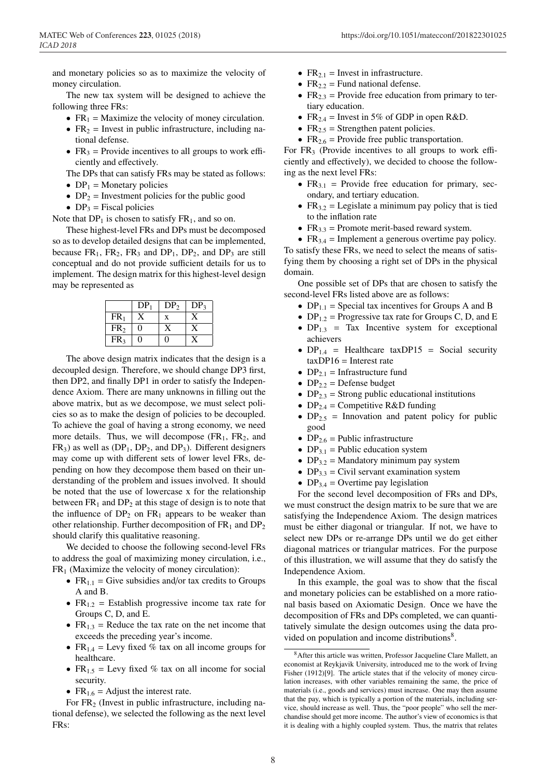and monetary policies so as to maximize the velocity of money circulation.

The new tax system will be designed to achieve the following three FRs:

- $FR_1$  = Maximize the velocity of money circulation.
- $FR<sub>2</sub>$  = Invest in public infrastructure, including national defense.
- $FR<sub>3</sub>$  = Provide incentives to all groups to work efficiently and effectively.

The DPs that can satisfy FRs may be stated as follows:

- $DP_1$  = Monetary policies
- $DP_2$  = Investment policies for the public good
- $DP_3$  = Fiscal policies

Note that  $DP_1$  is chosen to satisfy  $FR_1$ , and so on.

These highest-level FRs and DPs must be decomposed so as to develop detailed designs that can be implemented, because  $FR_1$ ,  $FR_2$ ,  $FR_3$  and  $DP_1$ ,  $DP_2$ , and  $DP_3$  are still conceptual and do not provide sufficient details for us to implement. The design matrix for this highest-level design may be represented as

|                 | DP <sub>1</sub> | DP <sub>2</sub> | DP <sub>3</sub> |
|-----------------|-----------------|-----------------|-----------------|
| FR <sub>1</sub> |                 | X               |                 |
| FR <sub>2</sub> | 0               |                 |                 |
| FR <sub>3</sub> | 0               | $\theta$        |                 |

The above design matrix indicates that the design is a decoupled design. Therefore, we should change DP3 first, then DP2, and finally DP1 in order to satisfy the Independence Axiom. There are many unknowns in filling out the above matrix, but as we decompose, we must select policies so as to make the design of policies to be decoupled. To achieve the goal of having a strong economy, we need more details. Thus, we will decompose  $(FR_1, FR_2, and$  $FR<sub>3</sub>$ ) as well as  $(DP<sub>1</sub>, DP<sub>2</sub>$ , and  $DP<sub>3</sub>$ ). Different designers may come up with different sets of lower level FRs, depending on how they decompose them based on their understanding of the problem and issues involved. It should be noted that the use of lowercase x for the relationship between  $FR_1$  and  $DP_2$  at this stage of design is to note that the influence of  $DP_2$  on  $FR_1$  appears to be weaker than other relationship. Further decomposition of  $FR_1$  and  $DP_2$ should clarify this qualitative reasoning.

We decided to choose the following second-level FRs to address the goal of maximizing money circulation, i.e.,  $FR<sub>1</sub>$  (Maximize the velocity of money circulation):

- $FR_{1,1}$  = Give subsidies and/or tax credits to Groups A and B.
- $FR_{1,2}$  = Establish progressive income tax rate for Groups C, D, and E.
- $FR<sub>1.3</sub>$  = Reduce the tax rate on the net income that exceeds the preceding year's income.
- $FR_{1.4}$  = Levy fixed % tax on all income groups for healthcare.
- $FR_{1.5}$  = Levy fixed % tax on all income for social security.
- $FR_{1.6}$  = Adjust the interest rate.

For  $FR<sub>2</sub>$  (Invest in public infrastructure, including national defense), we selected the following as the next level FRs:

- $FR_{2.1}$  = Invest in infrastructure.
- $FR_{2,2}$  = Fund national defense.
- $FR<sub>2.3</sub>$  = Provide free education from primary to tertiary education.
- $FR_{2.4}$  = Invest in 5% of GDP in open R&D.
- $FR<sub>2.5</sub>$  = Strengthen patent policies.
- $FR_{2.6}$  = Provide free public transportation.

For  $FR<sub>3</sub>$  (Provide incentives to all groups to work efficiently and effectively), we decided to choose the following as the next level FRs:

- $FR_{3,1}$  = Provide free education for primary, secondary, and tertiary education.
- $FR_{3.2}$  = Legislate a minimum pay policy that is tied to the inflation rate
- $FR<sub>3.3</sub>$  = Promote merit-based reward system.

•  $FR_{3.4}$  = Implement a generous overtime pay policy. To satisfy these FRs, we need to select the means of satisfying them by choosing a right set of DPs in the physical domain.

One possible set of DPs that are chosen to satisfy the second-level FRs listed above are as follows:

- $DP_{1,1}$  = Special tax incentives for Groups A and B
- $DP_{1,2}$  = Progressive tax rate for Groups C, D, and E
- $DP_{1,3}$  = Tax Incentive system for exceptional achievers
- $DP_{1.4}$  = Healthcare taxDP15 = Social security  $taxDP16 = Interest rate$
- $DP_{2,1}$  = Infrastructure fund
- $DP_{2,2}$  = Defense budget
- $DP_{2,3}$  = Strong public educational institutions
- $DP_{2,4}$  = Competitive R&D funding
- $DP_{2.5}$  = Innovation and patent policy for public good
- $DP_{2.6}$  = Public infrastructure
- $DP_{3,1}$  = Public education system
- $DP_{3,2}$  = Mandatory minimum pay system
- $DP_{3,3}$  = Civil servant examination system
- DP<sub>3.4</sub> = Overtime pay legislation

For the second level decomposition of FRs and DPs, we must construct the design matrix to be sure that we are satisfying the Independence Axiom. The design matrices must be either diagonal or triangular. If not, we have to select new DPs or re-arrange DPs until we do get either diagonal matrices or triangular matrices. For the purpose of this illustration, we will assume that they do satisfy the Independence Axiom.

In this example, the goal was to show that the fiscal and monetary policies can be established on a more rational basis based on Axiomatic Design. Once we have the decomposition of FRs and DPs completed, we can quantitatively simulate the design outcomes using the data provided on population and income distributions<sup>8</sup>.

<sup>8</sup>After this article was written, Professor Jacqueline Clare Mallett, an economist at Reykjavik University, introduced me to the work of Irving Fisher (1912)[9]. The article states that if the velocity of money circulation increases, with other variables remaining the same, the price of materials (i.e., goods and services) must increase. One may then assume that the pay, which is typically a portion of the materials, including service, should increase as well. Thus, the "poor people" who sell the merchandise should get more income. The author's view of economics is that it is dealing with a highly coupled system. Thus, the matrix that relates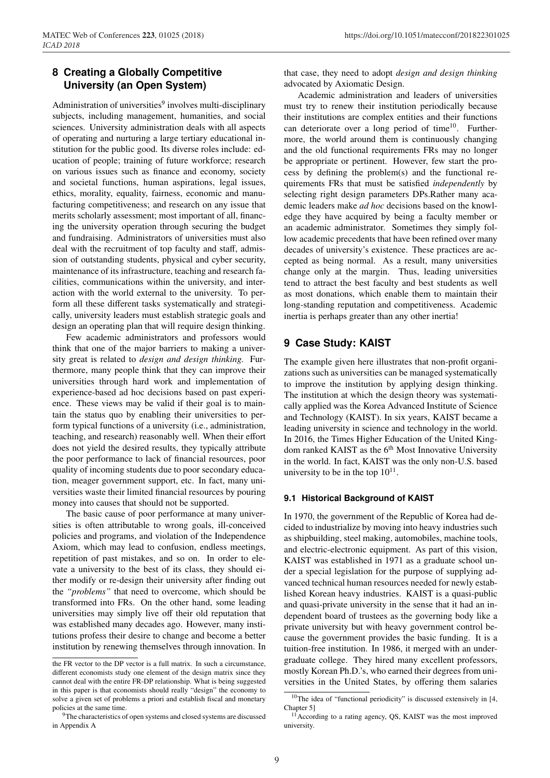# **8 Creating a Globally Competitive University (an Open System)**

Administration of universities $9$  involves multi-disciplinary subjects, including management, humanities, and social sciences. University administration deals with all aspects of operating and nurturing a large tertiary educational institution for the public good. Its diverse roles include: education of people; training of future workforce; research on various issues such as finance and economy, society and societal functions, human aspirations, legal issues, ethics, morality, equality, fairness, economic and manufacturing competitiveness; and research on any issue that merits scholarly assessment; most important of all, financing the university operation through securing the budget and fundraising. Administrators of universities must also deal with the recruitment of top faculty and staff, admission of outstanding students, physical and cyber security, maintenance of its infrastructure, teaching and research facilities, communications within the university, and interaction with the world external to the university. To perform all these different tasks systematically and strategically, university leaders must establish strategic goals and design an operating plan that will require design thinking.

Few academic administrators and professors would think that one of the major barriers to making a university great is related to *design and design thinking.* Furthermore, many people think that they can improve their universities through hard work and implementation of experience-based ad hoc decisions based on past experience. These views may be valid if their goal is to maintain the status quo by enabling their universities to perform typical functions of a university (i.e., administration, teaching, and research) reasonably well. When their effort does not yield the desired results, they typically attribute the poor performance to lack of financial resources, poor quality of incoming students due to poor secondary education, meager government support, etc. In fact, many universities waste their limited financial resources by pouring money into causes that should not be supported.

The basic cause of poor performance at many universities is often attributable to wrong goals, ill-conceived policies and programs, and violation of the Independence Axiom, which may lead to confusion, endless meetings, repetition of past mistakes, and so on. In order to elevate a university to the best of its class, they should either modify or re-design their university after finding out the *"problems"* that need to overcome, which should be transformed into FRs. On the other hand, some leading universities may simply live off their old reputation that was established many decades ago. However, many institutions profess their desire to change and become a better institution by renewing themselves through innovation. In

that case, they need to adopt *design and design thinking* advocated by Axiomatic Design.

Academic administration and leaders of universities must try to renew their institution periodically because their institutions are complex entities and their functions can deteriorate over a long period of time<sup>10</sup>. Furthermore, the world around them is continuously changing and the old functional requirements FRs may no longer be appropriate or pertinent. However, few start the process by defining the problem(s) and the functional requirements FRs that must be satisfied *independently* by selecting right design parameters DPs.Rather many academic leaders make *ad hoc* decisions based on the knowledge they have acquired by being a faculty member or an academic administrator. Sometimes they simply follow academic precedents that have been refined over many decades of university's existence. These practices are accepted as being normal. As a result, many universities change only at the margin. Thus, leading universities tend to attract the best faculty and best students as well as most donations, which enable them to maintain their long-standing reputation and competitiveness. Academic inertia is perhaps greater than any other inertia!

# **9 Case Study: KAIST**

The example given here illustrates that non-profit organizations such as universities can be managed systematically to improve the institution by applying design thinking. The institution at which the design theory was systematically applied was the Korea Advanced Institute of Science and Technology (KAIST). In six years, KAIST became a leading university in science and technology in the world. In 2016, the Times Higher Education of the United Kingdom ranked KAIST as the 6<sup>th</sup> Most Innovative University in the world. In fact, KAIST was the only non-U.S. based university to be in the top  $10^{11}$ .

#### **9.1 Historical Background of KAIST**

In 1970, the government of the Republic of Korea had decided to industrialize by moving into heavy industries such as shipbuilding, steel making, automobiles, machine tools, and electric-electronic equipment. As part of this vision, KAIST was established in 1971 as a graduate school under a special legislation for the purpose of supplying advanced technical human resources needed for newly established Korean heavy industries. KAIST is a quasi-public and quasi-private university in the sense that it had an independent board of trustees as the governing body like a private university but with heavy government control because the government provides the basic funding. It is a tuition-free institution. In 1986, it merged with an undergraduate college. They hired many excellent professors, mostly Korean Ph.D.'s, who earned their degrees from universities in the United States, by offering them salaries

the FR vector to the DP vector is a full matrix. In such a circumstance, different economists study one element of the design matrix since they cannot deal with the entire FR-DP relationship. What is being suggested in this paper is that economists should really "design" the economy to solve a given set of problems a priori and establish fiscal and monetary policies at the same time.

<sup>&</sup>lt;sup>9</sup>The characteristics of open systems and closed systems are discussed in Appendix A

 $10$ The idea of "functional periodicity" is discussed extensively in [4, Chapter 5]

<sup>&</sup>lt;sup>11</sup> According to a rating agency, QS, KAIST was the most improved university.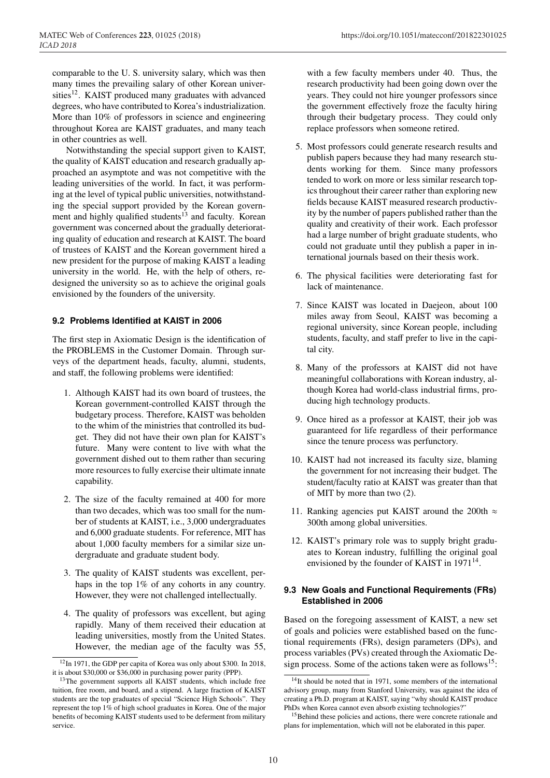comparable to the U. S. university salary, which was then many times the prevailing salary of other Korean universities<sup>12</sup>. KAIST produced many graduates with advanced degrees, who have contributed to Korea's industrialization. More than 10% of professors in science and engineering throughout Korea are KAIST graduates, and many teach in other countries as well.

Notwithstanding the special support given to KAIST, the quality of KAIST education and research gradually approached an asymptote and was not competitive with the leading universities of the world. In fact, it was performing at the level of typical public universities, notwithstanding the special support provided by the Korean government and highly qualified students<sup>13</sup> and faculty. Korean government was concerned about the gradually deteriorating quality of education and research at KAIST. The board of trustees of KAIST and the Korean government hired a new president for the purpose of making KAIST a leading university in the world. He, with the help of others, redesigned the university so as to achieve the original goals envisioned by the founders of the university.

#### **9.2 Problems Identified at KAIST in 2006**

The first step in Axiomatic Design is the identification of the PROBLEMS in the Customer Domain. Through surveys of the department heads, faculty, alumni, students, and staff, the following problems were identified:

- 1. Although KAIST had its own board of trustees, the Korean government-controlled KAIST through the budgetary process. Therefore, KAIST was beholden to the whim of the ministries that controlled its budget. They did not have their own plan for KAIST's future. Many were content to live with what the government dished out to them rather than securing more resources to fully exercise their ultimate innate capability.
- 2. The size of the faculty remained at 400 for more than two decades, which was too small for the number of students at KAIST, i.e., 3,000 undergraduates and 6,000 graduate students. For reference, MIT has about 1,000 faculty members for a similar size undergraduate and graduate student body.
- 3. The quality of KAIST students was excellent, perhaps in the top 1% of any cohorts in any country. However, they were not challenged intellectually.
- 4. The quality of professors was excellent, but aging rapidly. Many of them received their education at leading universities, mostly from the United States. However, the median age of the faculty was 55,

with a few faculty members under 40. Thus, the research productivity had been going down over the years. They could not hire younger professors since the government effectively froze the faculty hiring through their budgetary process. They could only replace professors when someone retired.

- 5. Most professors could generate research results and publish papers because they had many research students working for them. Since many professors tended to work on more or less similar research topics throughout their career rather than exploring new fields because KAIST measured research productivity by the number of papers published rather than the quality and creativity of their work. Each professor had a large number of bright graduate students, who could not graduate until they publish a paper in international journals based on their thesis work.
- 6. The physical facilities were deteriorating fast for lack of maintenance.
- 7. Since KAIST was located in Daejeon, about 100 miles away from Seoul, KAIST was becoming a regional university, since Korean people, including students, faculty, and staff prefer to live in the capital city.
- 8. Many of the professors at KAIST did not have meaningful collaborations with Korean industry, although Korea had world-class industrial firms, producing high technology products.
- 9. Once hired as a professor at KAIST, their job was guaranteed for life regardless of their performance since the tenure process was perfunctory.
- 10. KAIST had not increased its faculty size, blaming the government for not increasing their budget. The student/faculty ratio at KAIST was greater than that of MIT by more than two (2).
- 11. Ranking agencies put KAIST around the 200th  $\approx$ 300th among global universities.
- 12. KAIST's primary role was to supply bright graduates to Korean industry, fulfilling the original goal envisioned by the founder of KAIST in  $1971^{14}$ .

#### **9.3 New Goals and Functional Requirements (FRs) Established in 2006**

Based on the foregoing assessment of KAIST, a new set of goals and policies were established based on the functional requirements (FRs), design parameters (DPs), and process variables (PVs) created through the Axiomatic Design process. Some of the actions taken were as follows<sup>15</sup>:

 $12$ In 1971, the GDP per capita of Korea was only about \$300. In 2018, it is about \$30,000 or \$36,000 in purchasing power parity (PPP).

<sup>&</sup>lt;sup>13</sup>The government supports all KAIST students, which include free tuition, free room, and board, and a stipend. A large fraction of KAIST students are the top graduates of special "Science High Schools". They represent the top 1% of high school graduates in Korea. One of the major benefits of becoming KAIST students used to be deferment from military service.

<sup>&</sup>lt;sup>14</sup>It should be noted that in 1971, some members of the international advisory group, many from Stanford University, was against the idea of creating a Ph.D. program at KAIST, saying "why should KAIST produce PhDs when Korea cannot even absorb existing technologies?"

<sup>&</sup>lt;sup>15</sup>Behind these policies and actions, there were concrete rationale and plans for implementation, which will not be elaborated in this paper.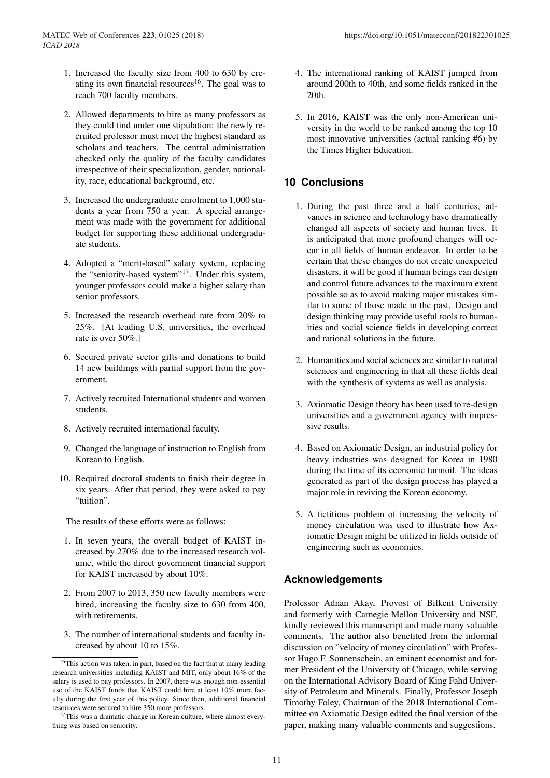- 1. Increased the faculty size from 400 to 630 by creating its own financial resources<sup>16</sup>. The goal was to reach 700 faculty members.
- 2. Allowed departments to hire as many professors as they could find under one stipulation: the newly recruited professor must meet the highest standard as scholars and teachers. The central administration checked only the quality of the faculty candidates irrespective of their specialization, gender, nationality, race, educational background, etc.
- 3. Increased the undergraduate enrolment to 1,000 students a year from 750 a year. A special arrangement was made with the government for additional budget for supporting these additional undergraduate students.
- 4. Adopted a "merit-based" salary system, replacing the "seniority-based system"<sup>17</sup>. Under this system, younger professors could make a higher salary than senior professors.
- 5. Increased the research overhead rate from 20% to 25%. [At leading U.S. universities, the overhead rate is over 50%.]
- 6. Secured private sector gifts and donations to build 14 new buildings with partial support from the government.
- 7. Actively recruited International students and women students.
- 8. Actively recruited international faculty.
- 9. Changed the language of instruction to English from Korean to English.
- 10. Required doctoral students to finish their degree in six years. After that period, they were asked to pay "tuition".

The results of these efforts were as follows:

- 1. In seven years, the overall budget of KAIST increased by 270% due to the increased research volume, while the direct government financial support for KAIST increased by about 10%.
- 2. From 2007 to 2013, 350 new faculty members were hired, increasing the faculty size to 630 from 400, with retirements.
- 3. The number of international students and faculty increased by about 10 to 15%.
- 4. The international ranking of KAIST jumped from around 200th to 40th, and some fields ranked in the 20th.
- 5. In 2016, KAIST was the only non-American university in the world to be ranked among the top 10 most innovative universities (actual ranking #6) by the Times Higher Education.

# **10 Conclusions**

- 1. During the past three and a half centuries, advances in science and technology have dramatically changed all aspects of society and human lives. It is anticipated that more profound changes will occur in all fields of human endeavor. In order to be certain that these changes do not create unexpected disasters, it will be good if human beings can design and control future advances to the maximum extent possible so as to avoid making major mistakes similar to some of those made in the past. Design and design thinking may provide useful tools to humanities and social science fields in developing correct and rational solutions in the future.
- 2. Humanities and social sciences are similar to natural sciences and engineering in that all these fields deal with the synthesis of systems as well as analysis.
- 3. Axiomatic Design theory has been used to re-design universities and a government agency with impressive results.
- 4. Based on Axiomatic Design, an industrial policy for heavy industries was designed for Korea in 1980 during the time of its economic turmoil. The ideas generated as part of the design process has played a major role in reviving the Korean economy.
- 5. A fictitious problem of increasing the velocity of money circulation was used to illustrate how Axiomatic Design might be utilized in fields outside of engineering such as economics.

# **Acknowledgements**

Professor Adnan Akay, Provost of Bilkent University and formerly with Carnegie Mellon University and NSF, kindly reviewed this manuscript and made many valuable comments. The author also benefited from the informal discussion on "velocity of money circulation" with Professor Hugo F. Sonnenschein, an eminent economist and former President of the University of Chicago, while serving on the International Advisory Board of King Fahd University of Petroleum and Minerals. Finally, Professor Joseph Timothy Foley, Chairman of the 2018 International Committee on Axiomatic Design edited the final version of the paper, making many valuable comments and suggestions.

<sup>&</sup>lt;sup>16</sup>This action was taken, in part, based on the fact that at many leading research universities including KAIST and MIT, only about 16% of the salary is used to pay professors. In 2007, there was enough non-essential use of the KAIST funds that KAIST could hire at least 10% more faculty during the first year of this policy. Since then, additional financial resources were secured to hire 350 more professors.

<sup>&</sup>lt;sup>17</sup>This was a dramatic change in Korean culture, where almost everything was based on seniority.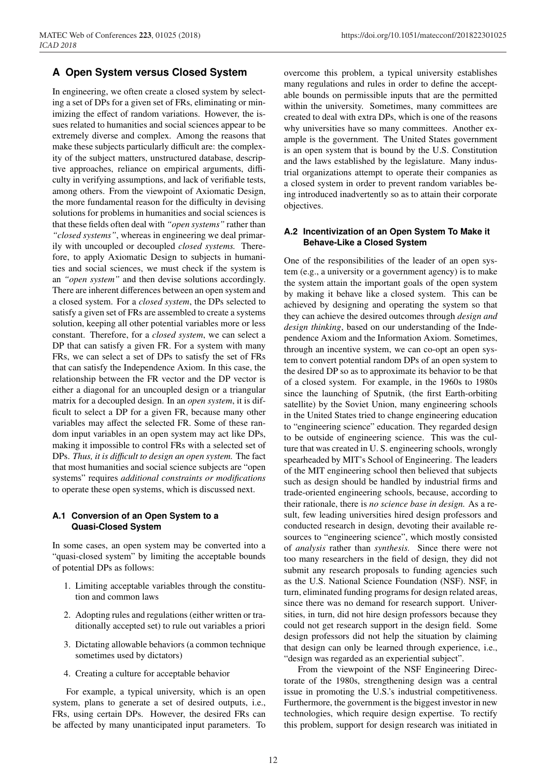### **A Open System versus Closed System**

In engineering, we often create a closed system by selecting a set of DPs for a given set of FRs, eliminating or minimizing the effect of random variations. However, the issues related to humanities and social sciences appear to be extremely diverse and complex. Among the reasons that make these subjects particularly difficult are: the complexity of the subject matters, unstructured database, descriptive approaches, reliance on empirical arguments, difficulty in verifying assumptions, and lack of verifiable tests, among others. From the viewpoint of Axiomatic Design, the more fundamental reason for the difficulty in devising solutions for problems in humanities and social sciences is that these fields often deal with *"open systems"* rather than *"closed systems"*, whereas in engineering we deal primarily with uncoupled or decoupled *closed systems.* Therefore, to apply Axiomatic Design to subjects in humanities and social sciences, we must check if the system is an *"open system"* and then devise solutions accordingly. There are inherent differences between an open system and a closed system. For a *closed system*, the DPs selected to satisfy a given set of FRs are assembled to create a systems solution, keeping all other potential variables more or less constant. Therefore, for a *closed system*, we can select a DP that can satisfy a given FR. For a system with many FRs, we can select a set of DPs to satisfy the set of FRs that can satisfy the Independence Axiom. In this case, the relationship between the FR vector and the DP vector is either a diagonal for an uncoupled design or a triangular matrix for a decoupled design. In an *open system*, it is difficult to select a DP for a given FR, because many other variables may affect the selected FR. Some of these random input variables in an open system may act like DPs, making it impossible to control FRs with a selected set of DPs. *Thus, it is di*ffi*cult to design an open system.* The fact that most humanities and social science subjects are "open systems" requires *additional constraints or modifications* to operate these open systems, which is discussed next.

#### **A.1 Conversion of an Open System to a Quasi-Closed System**

In some cases, an open system may be converted into a "quasi-closed system" by limiting the acceptable bounds of potential DPs as follows:

- 1. Limiting acceptable variables through the constitution and common laws
- 2. Adopting rules and regulations (either written or traditionally accepted set) to rule out variables a priori
- 3. Dictating allowable behaviors (a common technique sometimes used by dictators)
- 4. Creating a culture for acceptable behavior

For example, a typical university, which is an open system, plans to generate a set of desired outputs, i.e., FRs, using certain DPs. However, the desired FRs can be affected by many unanticipated input parameters. To overcome this problem, a typical university establishes many regulations and rules in order to define the acceptable bounds on permissible inputs that are the permitted within the university. Sometimes, many committees are created to deal with extra DPs, which is one of the reasons why universities have so many committees. Another example is the government. The United States government is an open system that is bound by the U.S. Constitution and the laws established by the legislature. Many industrial organizations attempt to operate their companies as a closed system in order to prevent random variables being introduced inadvertently so as to attain their corporate objectives.

#### **A.2 Incentivization of an Open System To Make it Behave-Like a Closed System**

One of the responsibilities of the leader of an open system (e.g., a university or a government agency) is to make the system attain the important goals of the open system by making it behave like a closed system. This can be achieved by designing and operating the system so that they can achieve the desired outcomes through *design and design thinking*, based on our understanding of the Independence Axiom and the Information Axiom. Sometimes, through an incentive system, we can co-opt an open system to convert potential random DPs of an open system to the desired DP so as to approximate its behavior to be that of a closed system. For example, in the 1960s to 1980s since the launching of Sputnik, (the first Earth-orbiting satellite) by the Soviet Union, many engineering schools in the United States tried to change engineering education to "engineering science" education. They regarded design to be outside of engineering science. This was the culture that was created in U. S. engineering schools, wrongly spearheaded by MIT's School of Engineering. The leaders of the MIT engineering school then believed that subjects such as design should be handled by industrial firms and trade-oriented engineering schools, because, according to their rationale, there is *no science base in design.* As a result, few leading universities hired design professors and conducted research in design, devoting their available resources to "engineering science", which mostly consisted of *analysis* rather than *synthesis.* Since there were not too many researchers in the field of design, they did not submit any research proposals to funding agencies such as the U.S. National Science Foundation (NSF). NSF, in turn, eliminated funding programs for design related areas, since there was no demand for research support. Universities, in turn, did not hire design professors because they could not get research support in the design field. Some design professors did not help the situation by claiming that design can only be learned through experience, i.e., "design was regarded as an experiential subject".

From the viewpoint of the NSF Engineering Directorate of the 1980s, strengthening design was a central issue in promoting the U.S.'s industrial competitiveness. Furthermore, the government is the biggest investor in new technologies, which require design expertise. To rectify this problem, support for design research was initiated in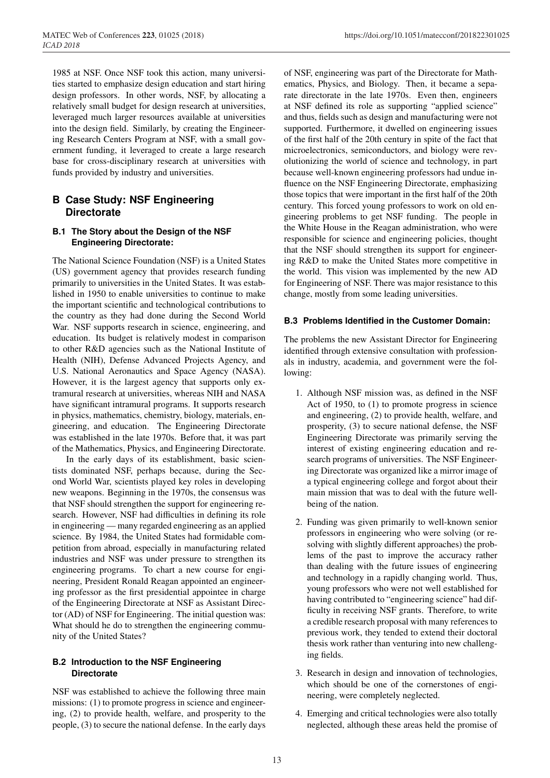1985 at NSF. Once NSF took this action, many universities started to emphasize design education and start hiring design professors. In other words, NSF, by allocating a relatively small budget for design research at universities, leveraged much larger resources available at universities into the design field. Similarly, by creating the Engineering Research Centers Program at NSF, with a small government funding, it leveraged to create a large research base for cross-disciplinary research at universities with funds provided by industry and universities.

### **B Case Study: NSF Engineering Directorate**

#### **B.1 The Story about the Design of the NSF Engineering Directorate:**

The National Science Foundation (NSF) is a United States (US) government agency that provides research funding primarily to universities in the United States. It was established in 1950 to enable universities to continue to make the important scientific and technological contributions to the country as they had done during the Second World War. NSF supports research in science, engineering, and education. Its budget is relatively modest in comparison to other R&D agencies such as the National Institute of Health (NIH), Defense Advanced Projects Agency, and U.S. National Aeronautics and Space Agency (NASA). However, it is the largest agency that supports only extramural research at universities, whereas NIH and NASA have significant intramural programs. It supports research in physics, mathematics, chemistry, biology, materials, engineering, and education. The Engineering Directorate was established in the late 1970s. Before that, it was part of the Mathematics, Physics, and Engineering Directorate.

In the early days of its establishment, basic scientists dominated NSF, perhaps because, during the Second World War, scientists played key roles in developing new weapons. Beginning in the 1970s, the consensus was that NSF should strengthen the support for engineering research. However, NSF had difficulties in defining its role in engineering — many regarded engineering as an applied science. By 1984, the United States had formidable competition from abroad, especially in manufacturing related industries and NSF was under pressure to strengthen its engineering programs. To chart a new course for engineering, President Ronald Reagan appointed an engineering professor as the first presidential appointee in charge of the Engineering Directorate at NSF as Assistant Director (AD) of NSF for Engineering. The initial question was: What should he do to strengthen the engineering community of the United States?

#### **B.2 Introduction to the NSF Engineering Directorate**

NSF was established to achieve the following three main missions: (1) to promote progress in science and engineering, (2) to provide health, welfare, and prosperity to the people, (3) to secure the national defense. In the early days of NSF, engineering was part of the Directorate for Mathematics, Physics, and Biology. Then, it became a separate directorate in the late 1970s. Even then, engineers at NSF defined its role as supporting "applied science" and thus, fields such as design and manufacturing were not supported. Furthermore, it dwelled on engineering issues of the first half of the 20th century in spite of the fact that microelectronics, semiconductors, and biology were revolutionizing the world of science and technology, in part because well-known engineering professors had undue influence on the NSF Engineering Directorate, emphasizing those topics that were important in the first half of the 20th century. This forced young professors to work on old engineering problems to get NSF funding. The people in the White House in the Reagan administration, who were responsible for science and engineering policies, thought that the NSF should strengthen its support for engineering R&D to make the United States more competitive in the world. This vision was implemented by the new AD for Engineering of NSF. There was major resistance to this change, mostly from some leading universities.

#### **B.3 Problems Identified in the Customer Domain:**

The problems the new Assistant Director for Engineering identified through extensive consultation with professionals in industry, academia, and government were the following:

- 1. Although NSF mission was, as defined in the NSF Act of 1950, to (1) to promote progress in science and engineering, (2) to provide health, welfare, and prosperity, (3) to secure national defense, the NSF Engineering Directorate was primarily serving the interest of existing engineering education and research programs of universities. The NSF Engineering Directorate was organized like a mirror image of a typical engineering college and forgot about their main mission that was to deal with the future wellbeing of the nation.
- 2. Funding was given primarily to well-known senior professors in engineering who were solving (or resolving with slightly different approaches) the problems of the past to improve the accuracy rather than dealing with the future issues of engineering and technology in a rapidly changing world. Thus, young professors who were not well established for having contributed to "engineering science" had difficulty in receiving NSF grants. Therefore, to write a credible research proposal with many references to previous work, they tended to extend their doctoral thesis work rather than venturing into new challenging fields.
- 3. Research in design and innovation of technologies, which should be one of the cornerstones of engineering, were completely neglected.
- 4. Emerging and critical technologies were also totally neglected, although these areas held the promise of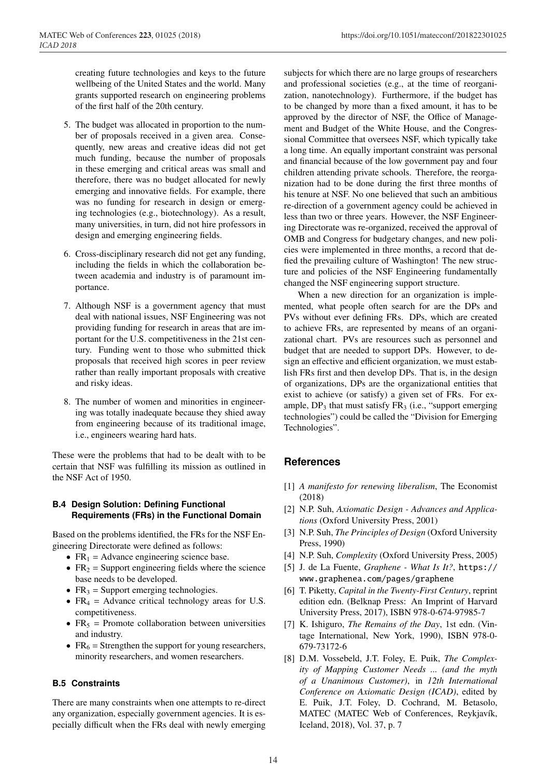creating future technologies and keys to the future wellbeing of the United States and the world. Many grants supported research on engineering problems of the first half of the 20th century.

- 5. The budget was allocated in proportion to the number of proposals received in a given area. Consequently, new areas and creative ideas did not get much funding, because the number of proposals in these emerging and critical areas was small and therefore, there was no budget allocated for newly emerging and innovative fields. For example, there was no funding for research in design or emerging technologies (e.g., biotechnology). As a result, many universities, in turn, did not hire professors in design and emerging engineering fields.
- 6. Cross-disciplinary research did not get any funding, including the fields in which the collaboration between academia and industry is of paramount importance.
- 7. Although NSF is a government agency that must deal with national issues, NSF Engineering was not providing funding for research in areas that are important for the U.S. competitiveness in the 21st century. Funding went to those who submitted thick proposals that received high scores in peer review rather than really important proposals with creative and risky ideas.
- 8. The number of women and minorities in engineering was totally inadequate because they shied away from engineering because of its traditional image, i.e., engineers wearing hard hats.

These were the problems that had to be dealt with to be certain that NSF was fulfilling its mission as outlined in the NSF Act of 1950.

#### **B.4 Design Solution: Defining Functional Requirements (FRs) in the Functional Domain**

Based on the problems identified, the FRs for the NSF Engineering Directorate were defined as follows:

- $FR_1$  = Advance engineering science base.
- $FR<sub>2</sub>$  = Support engineering fields where the science base needs to be developed.
- $FR<sub>3</sub>$  = Support emerging technologies.
- $FR<sub>4</sub>$  = Advance critical technology areas for U.S. competitiveness.
- $FR<sub>5</sub>$  = Promote collaboration between universities and industry.
- $FR<sub>6</sub>$  = Strengthen the support for young researchers, minority researchers, and women researchers.

#### **B.5 Constraints**

There are many constraints when one attempts to re-direct any organization, especially government agencies. It is especially difficult when the FRs deal with newly emerging

subjects for which there are no large groups of researchers and professional societies (e.g., at the time of reorganization, nanotechnology). Furthermore, if the budget has to be changed by more than a fixed amount, it has to be approved by the director of NSF, the Office of Management and Budget of the White House, and the Congressional Committee that oversees NSF, which typically take a long time. An equally important constraint was personal and financial because of the low government pay and four children attending private schools. Therefore, the reorganization had to be done during the first three months of his tenure at NSF. No one believed that such an ambitious re-direction of a government agency could be achieved in less than two or three years. However, the NSF Engineering Directorate was re-organized, received the approval of OMB and Congress for budgetary changes, and new policies were implemented in three months, a record that defied the prevailing culture of Washington! The new structure and policies of the NSF Engineering fundamentally changed the NSF engineering support structure.

When a new direction for an organization is implemented, what people often search for are the DPs and PVs without ever defining FRs. DPs, which are created to achieve FRs, are represented by means of an organizational chart. PVs are resources such as personnel and budget that are needed to support DPs. However, to design an effective and efficient organization, we must establish FRs first and then develop DPs. That is, in the design of organizations, DPs are the organizational entities that exist to achieve (or satisfy) a given set of FRs. For example,  $DP_3$  that must satisfy  $FR_3$  (i.e., "support emerging technologies") could be called the "Division for Emerging Technologies".

### **References**

- [1] *A manifesto for renewing liberalism*, The Economist (2018)
- [2] N.P. Suh, *Axiomatic Design Advances and Applications* (Oxford University Press, 2001)
- [3] N.P. Suh, *The Principles of Design* (Oxford University Press, 1990)
- [4] N.P. Suh, *Complexity* (Oxford University Press, 2005)
- [5] J. de La Fuente, *Graphene What Is It?*, https:// www.graphenea.com/pages/graphene
- [6] T. Piketty, *Capital in the Twenty-First Century*, reprint edition edn. (Belknap Press: An Imprint of Harvard University Press, 2017), ISBN 978-0-674-97985-7
- [7] K. Ishiguro, *The Remains of the Day*, 1st edn. (Vintage International, New York, 1990), ISBN 978-0- 679-73172-6
- [8] D.M. Vossebeld, J.T. Foley, E. Puik, *The Complexity of Mapping Customer Needs ... (and the myth of a Unanimous Customer)*, in *12th International Conference on Axiomatic Design (ICAD)*, edited by E. Puik, J.T. Foley, D. Cochrand, M. Betasolo, MATEC (MATEC Web of Conferences, Reykjavík, Iceland, 2018), Vol. 37, p. 7